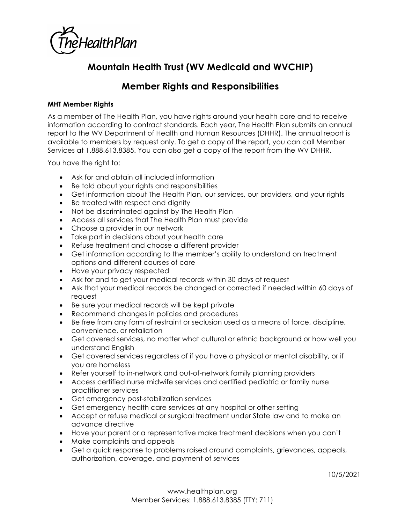

## **Mountain Health Trust (WV Medicaid and WVCHIP)**

## **Member Rights and Responsibilities**

## **MHT Member Rights**

As a member of The Health Plan, you have rights around your health care and to receive information according to contract standards. Each year, The Health Plan submits an annual report to the WV Department of Health and Human Resources (DHHR). The annual report is available to members by request only. To get a copy of the report, you can call Member Services at 1.888.613.8385. You can also get a copy of the report from the WV DHHR.

You have the right to:

- Ask for and obtain all included information
- Be told about your rights and responsibilities
- Get information about The Health Plan, our services, our providers, and your rights
- Be treated with respect and dignity
- Not be discriminated against by The Health Plan
- Access all services that The Health Plan must provide
- Choose a provider in our network
- Take part in decisions about your health care
- Refuse treatment and choose a different provider
- Get information according to the member's ability to understand on treatment options and different courses of care
- Have your privacy respected
- Ask for and to get your medical records within 30 days of request
- Ask that your medical records be changed or corrected if needed within 60 days of request
- Be sure your medical records will be kept private
- Recommend changes in policies and procedures
- Be free from any form of restraint or seclusion used as a means of force, discipline, convenience, or retaliation
- Get covered services, no matter what cultural or ethnic background or how well you understand English
- Get covered services regardless of if you have a physical or mental disability, or if you are homeless
- Refer yourself to in-network and out-of-network family planning providers
- Access certified nurse midwife services and certified pediatric or family nurse practitioner services
- Get emergency post-stabilization services
- Get emergency health care services at any hospital or other setting
- Accept or refuse medical or surgical treatment under State law and to make an advance directive
- Have your parent or a representative make treatment decisions when you can't
- Make complaints and appeals
- Get a quick response to problems raised around complaints, grievances, appeals, authorization, coverage, and payment of services